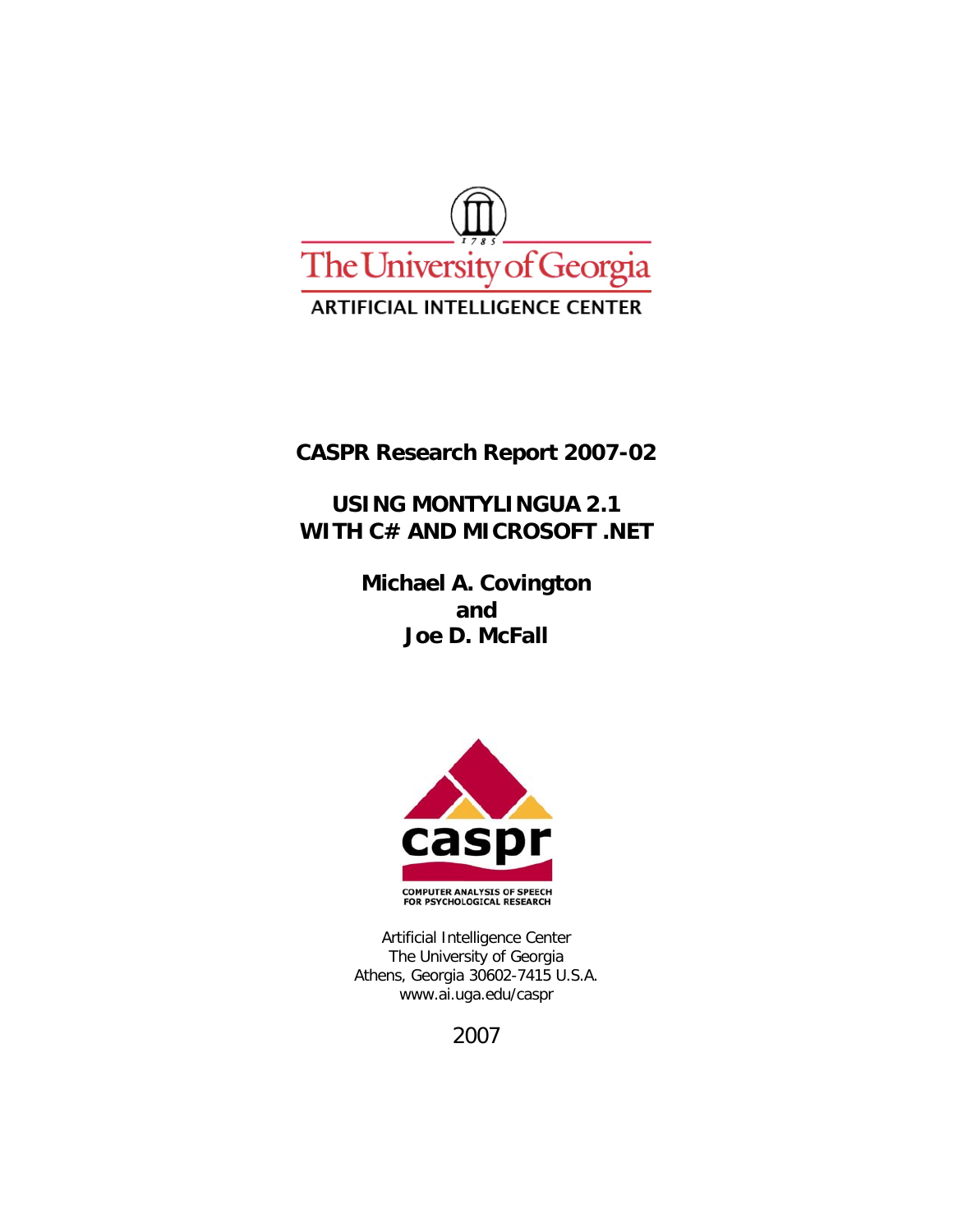

**CASPR Research Report 2007-02** 

**USING MONTYLINGUA 2.1**  WITH C# AND MICROSOFT .NET

> **Michael A. Covington and Joe D. McFall**



Artificial Intelligence Center The University of Georgia Athens, Georgia 30602-7415 U.S.A. www.ai.uga.edu/caspr

2007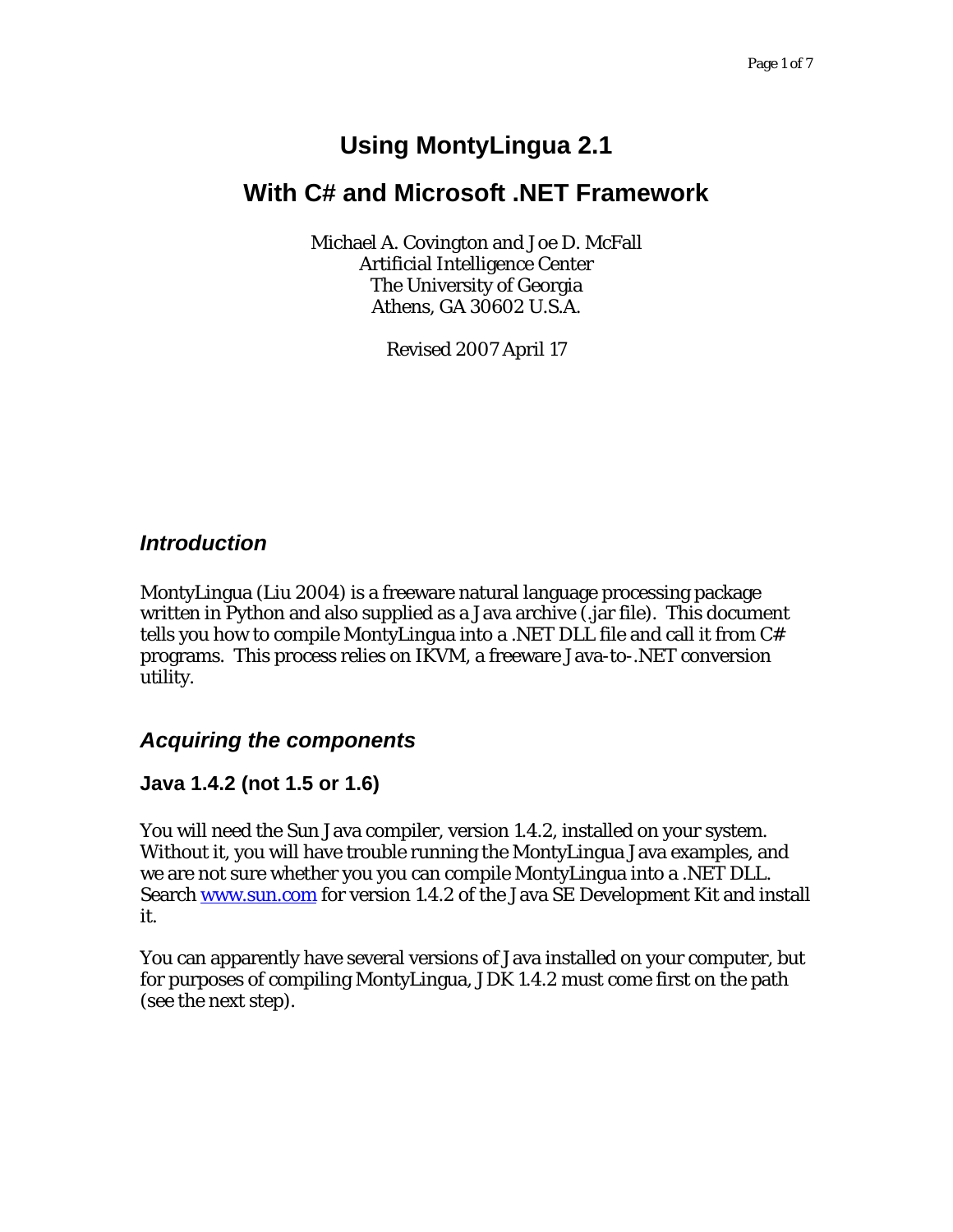# **Using MontyLingua 2.1**

# **With C# and Microsoft .NET Framework**

Michael A. Covington and Joe D. McFall Artificial Intelligence Center The University of Georgia Athens, GA 30602 U.S.A.

Revised 2007 April 17

## *Introduction*

MontyLingua (Liu 2004) is a freeware natural language processing package written in Python and also supplied as a Java archive (.jar file). This document tells you how to compile MontyLingua into a .NET DLL file and call it from C# programs. This process relies on IKVM, a freeware Java-to-.NET conversion utility.

### *Acquiring the components*

### **Java 1.4.2 (not 1.5 or 1.6)**

You will need the Sun Java compiler, version 1.4.2, installed on your system. Without it, you will have trouble running the MontyLingua Java examples, and we are not sure whether you you can compile MontyLingua into a .NET DLL. Search www.sun.com for version 1.4.2 of the Java SE Development Kit and install it.

You can apparently have several versions of Java installed on your computer, but for purposes of compiling MontyLingua, JDK 1.4.2 must come first on the path (see the next step).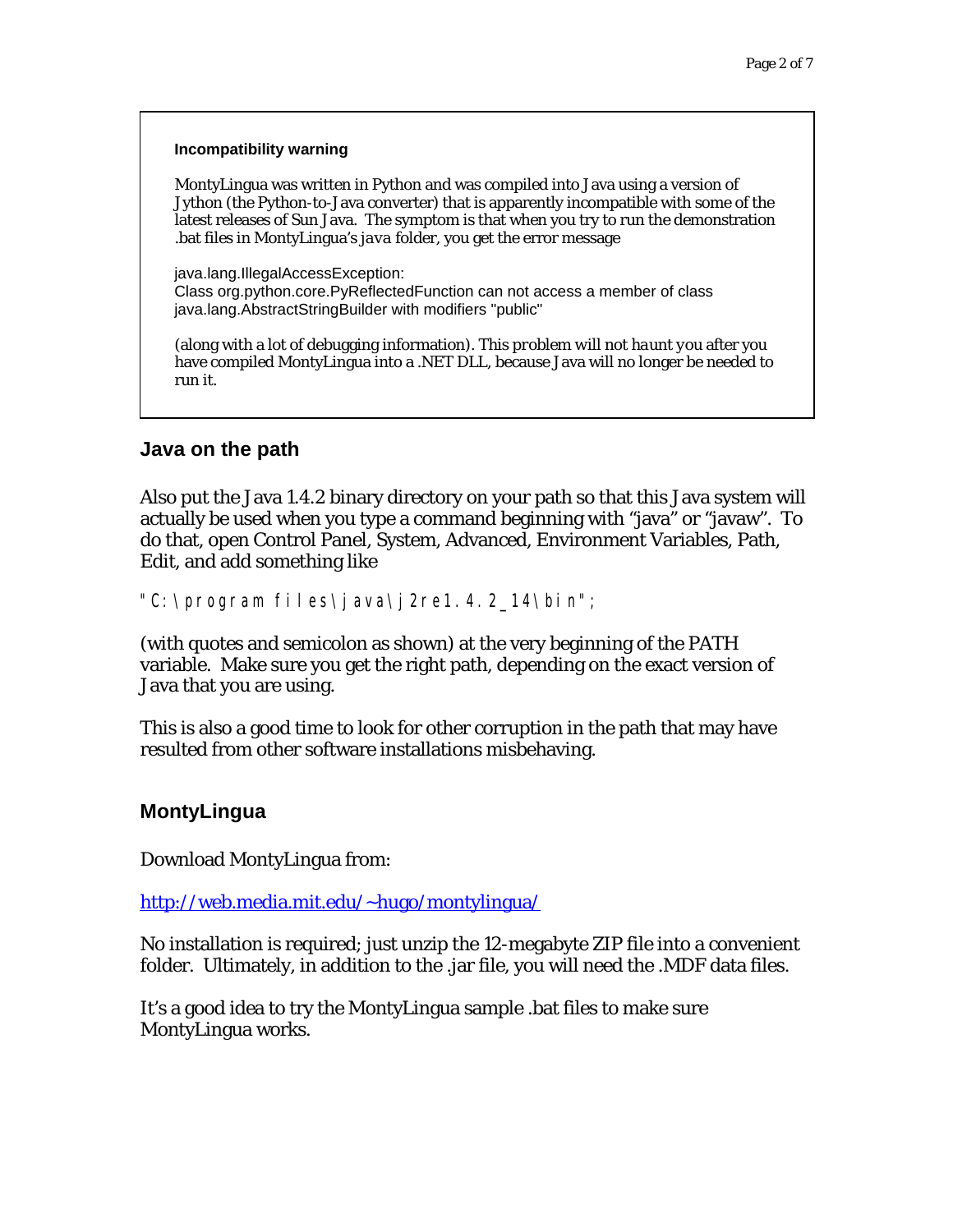#### **Incompatibility warning**

MontyLingua was written in Python and was compiled into Java using a version of Jython (the Python-to-Java converter) that is apparently incompatible with some of the latest releases of Sun Java. The symptom is that when you try to run the demonstration .bat files in MontyLingua's *java* folder, you get the error message

java.lang.IllegalAccessException: Class org.python.core.PyReflectedFunction can not access a member of class java.lang.AbstractStringBuilder with modifiers "public"

(along with a lot of debugging information). *This problem will not haunt you* after you have compiled MontyLingua into a .NET DLL, because Java will no longer be needed to run it.

#### **Java on the path**

Also put the Java 1.4.2 binary directory on your path so that this Java system will actually be used when you type a command beginning with "java" or "javaw". To do that, open Control Panel, System, Advanced, Environment Variables, Path, Edit, and add something like

"C:\program files\java\j2re1.4.2\_14\bin";

(with quotes and semicolon as shown) at the very beginning of the PATH variable. Make sure you get the right path, depending on the exact version of Java that you are using.

This is also a good time to look for other corruption in the path that may have resulted from other software installations misbehaving.

#### **MontyLingua**

Download MontyLingua from:

http://web.media.mit.edu/~hugo/montylingua/

No installation is required; just unzip the 12-megabyte ZIP file into a convenient folder. Ultimately, in addition to the .jar file, you will need the .MDF data files.

It's a good idea to try the MontyLingua sample .bat files to make sure MontyLingua works.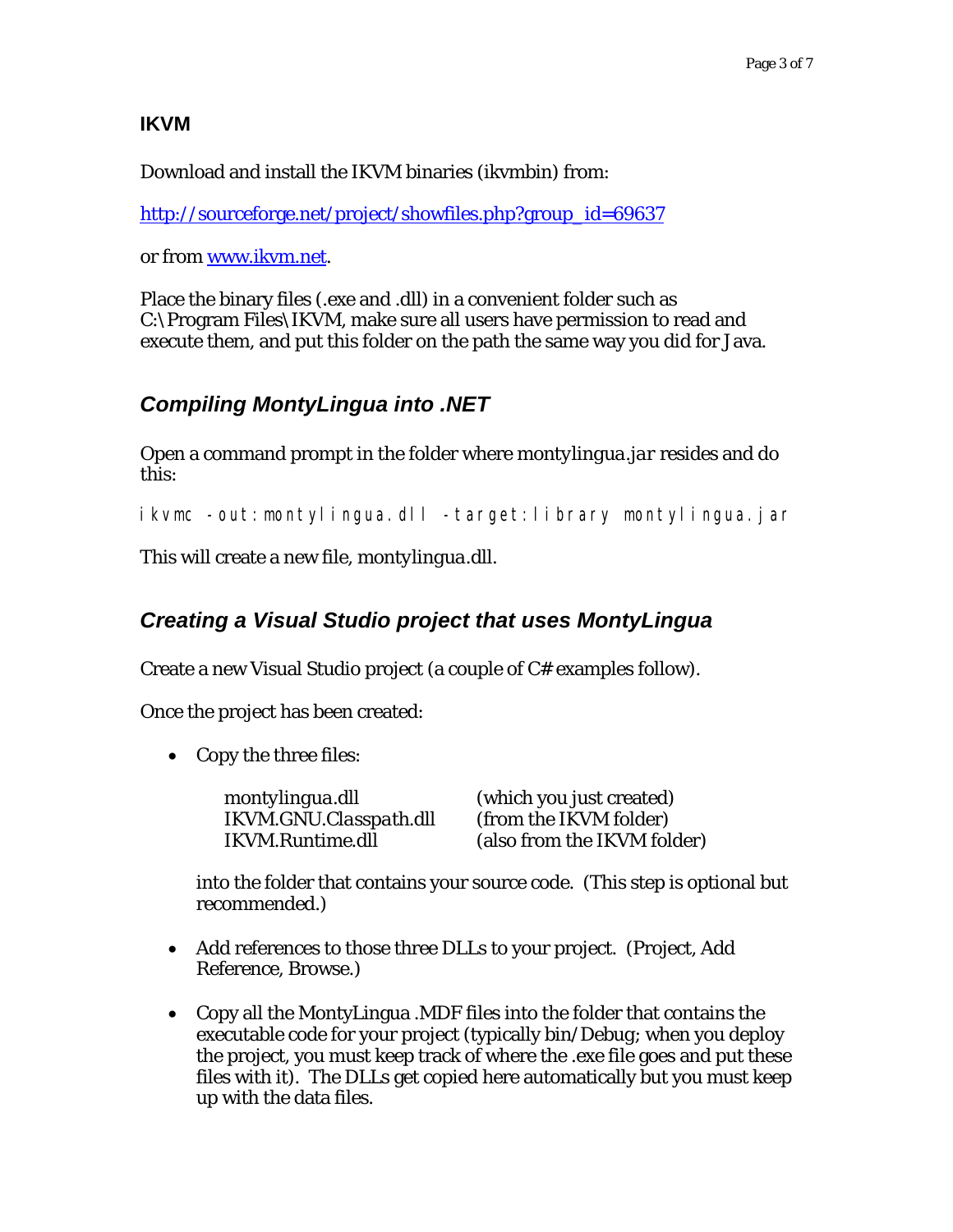#### **IKVM**

Download and install the IKVM binaries (ikvmbin) from:

http://sourceforge.net/project/showfiles.php?group\_id=69637

or from www.ikvm.net.

Place the binary files (.exe and .dll) in a convenient folder such as C:\Program Files\IKVM, make sure all users have permission to read and execute them, and put this folder on the path the same way you did for Java.

# *Compiling MontyLingua into .NET*

Open a command prompt in the folder where *montylingua.jar* resides and do this:

ikvmc -out:montylingua.dll -target:library montylingua.jar

This will create a new file, *montylingua.dll.*

# *Creating a Visual Studio project that uses MontyLingua*

Create a new Visual Studio project (a couple of C# examples follow).

Once the project has been created:

• Copy the three files:

| montylingua.dll         | (which you just created)    |
|-------------------------|-----------------------------|
| IKVM.GNU.Classpath.dll  | (from the IKVM folder)      |
| <b>IKVM.Runtime.dll</b> | (also from the IKVM folder) |

into the folder that contains your source code. (This step is optional but recommended.)

- Add references to those three DLLs to your project. (Project, Add Reference, Browse.)
- Copy all the MontyLingua .MDF files into the folder that contains the executable code for your project (typically *bin/Debug*; when you deploy the project, you must keep track of where the .exe file goes and put these files with it). The DLLs get copied here automatically but you must keep up with the data files.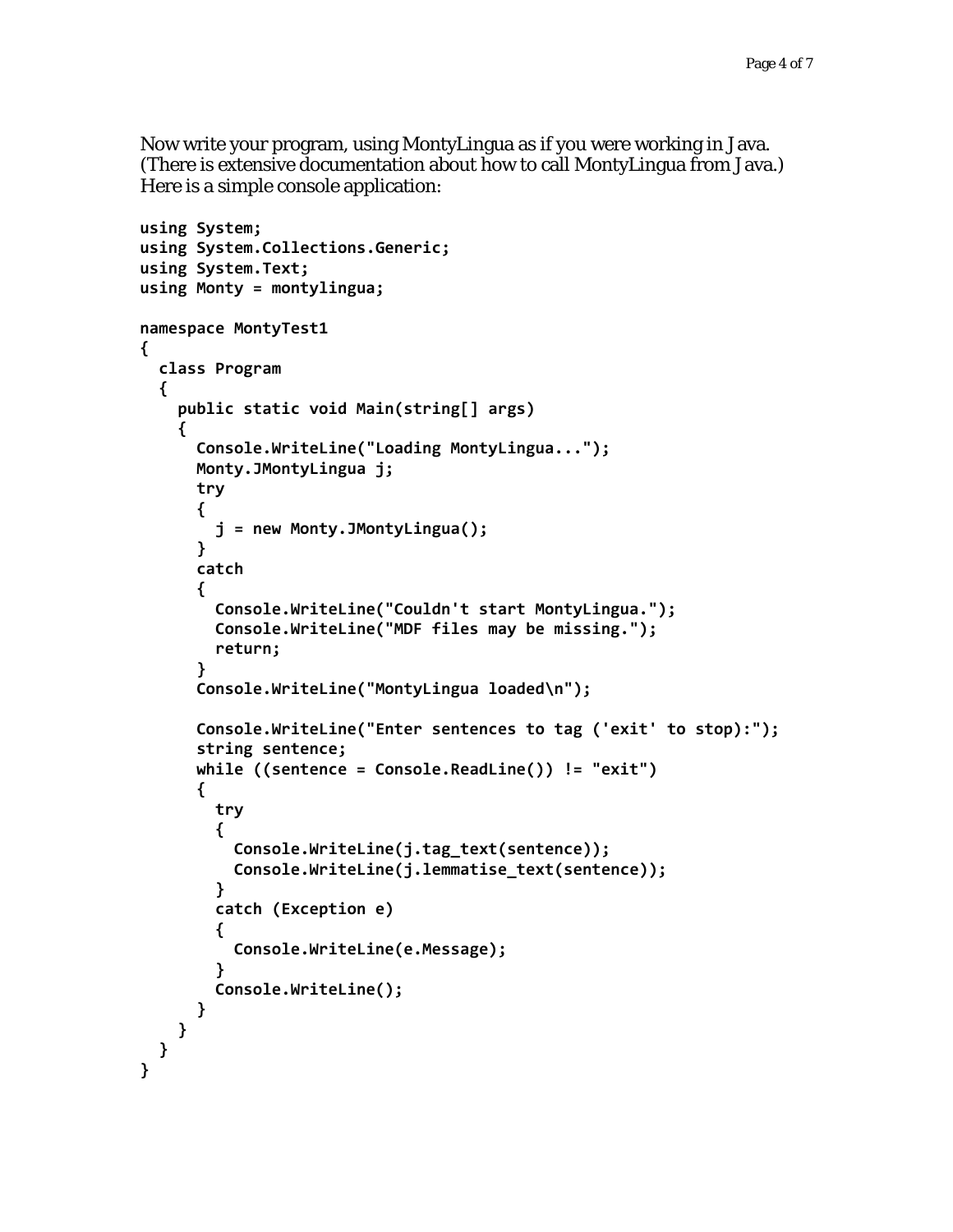Now write your program, using MontyLingua as if you were working in Java. (There is extensive documentation about how to call MontyLingua from Java.) Here is a simple console application:

```
using System;
using System.Collections.Generic;
using System.Text;
using Monty = montylingua;
namespace MontyTest1
{
    class Program
    {
         public static void Main(string[] args)
         {
             Console.WriteLine("Loading MontyLingua...");
             Monty.JMontyLingua j;
             try
             {
                  j = new Monty.JMontyLingua();
             }
             catch
             {
                  Console.WriteLine("Couldn't start MontyLingua.");
                  Console.WriteLine("MDF files may be missing.");
                  return;
             }
             Console.WriteLine("MontyLingua loaded\n");
             Console.WriteLine("Enter sentences to tag ('exit' to stop):");
             string sentence;
             while ((sentence = Console.ReadLine()) != "exit")
             {
                  try
                  {
                       Console.WriteLine(j.tag_text(sentence));
                       Console.WriteLine(j.lemmatise_text(sentence));
                  }
                  catch (Exception e)
                  {
                       Console.WriteLine(e.Message);
        }
                  Console.WriteLine();
            }
        }
    }
}
```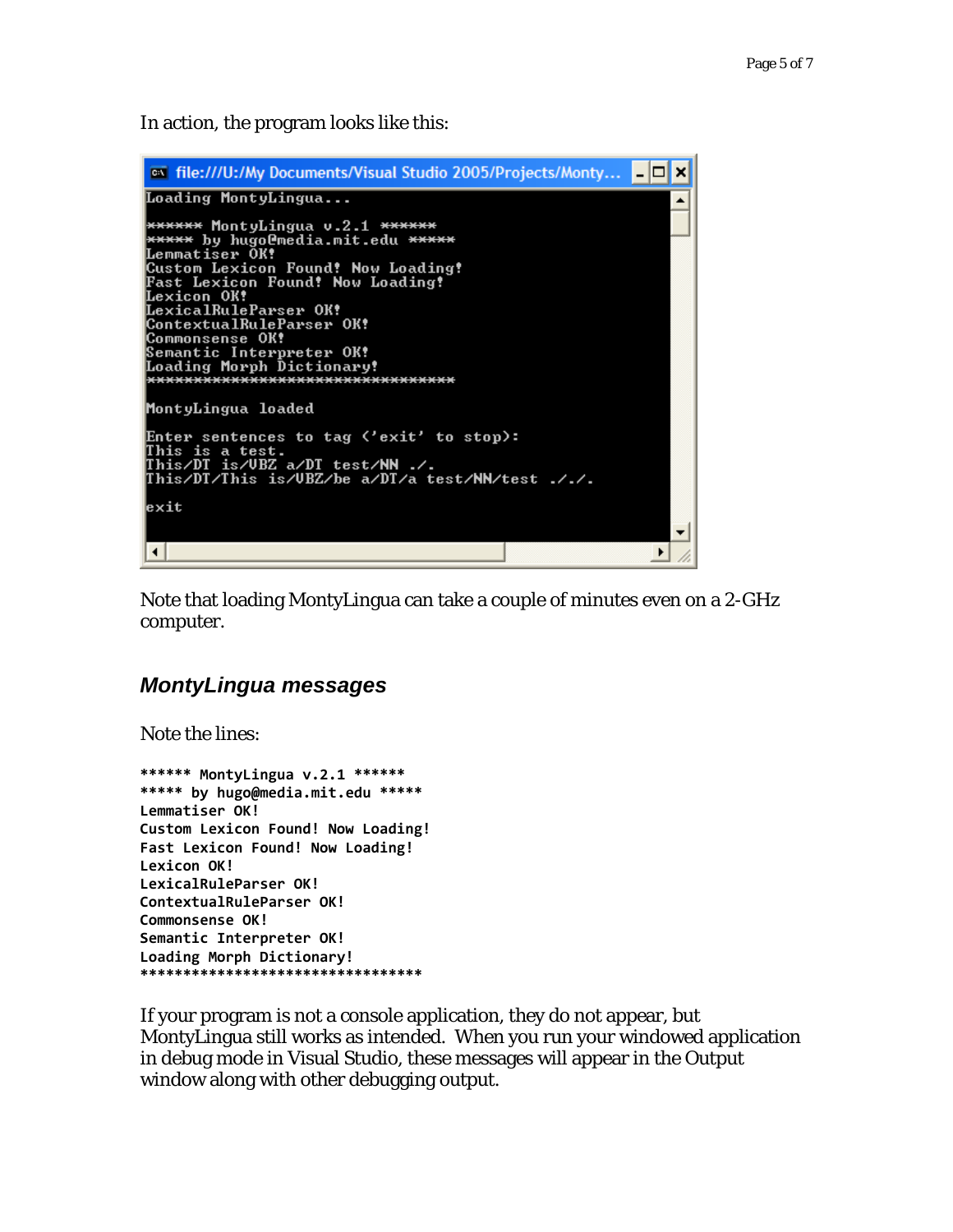In action, the program looks like this:

```
- 0
 on file:///U:/My Documents/Visual Studio 2005/Projects/Monty...
                                                                                    ×
Loading MontyLingua...
                                                                                    ▲
****** MontyLingua v.2.1 ******
***** by hugoCnedia.mit.edu *****<br>Lemmatiser OK!
Custom Lexicon Found! Now Loading!
Fast Lexicon Found! Now Loading!
rast Bexicum rudnu: Nuw<br>LexicalRuleParser OK!<br>ContextualRuleParser OK!
Commonsense OK!
Semantic Interpreter OK!<br>Loading Morph Dictionary!
 *********************************
MontyLingua loaded
Enter sentences to tag ('exit' to stop):
This is a test.<br>This/DT is/UBZ a/DT test/NN ./.<br>This/DT/This is/UBZ/be a/DT/a test/NN/test ././.
exit
\left| \cdot \right|\overline{ }4
```
Note that loading MontyLingua can take a couple of minutes even on a 2-GHz computer.

### *MontyLingua messages*

Note the lines:

```
****** MontyLingua v.2.1 ******
***** by hugo@media.mit.edu *****
Lemmatiser OK!
Custom Lexicon Found! Now Loading!
Fast Lexicon Found! Now Loading!
Lexicon OK!
LexicalRuleParser OK!
ContextualRuleParser OK!
Commonsense OK!
Semantic Interpreter OK!
Loading Morph Dictionary!
*********************************
```
If your program is not a console application, they do not appear, but MontyLingua still works as intended. When you run your windowed application in debug mode in Visual Studio, these messages will appear in the Output window along with other debugging output.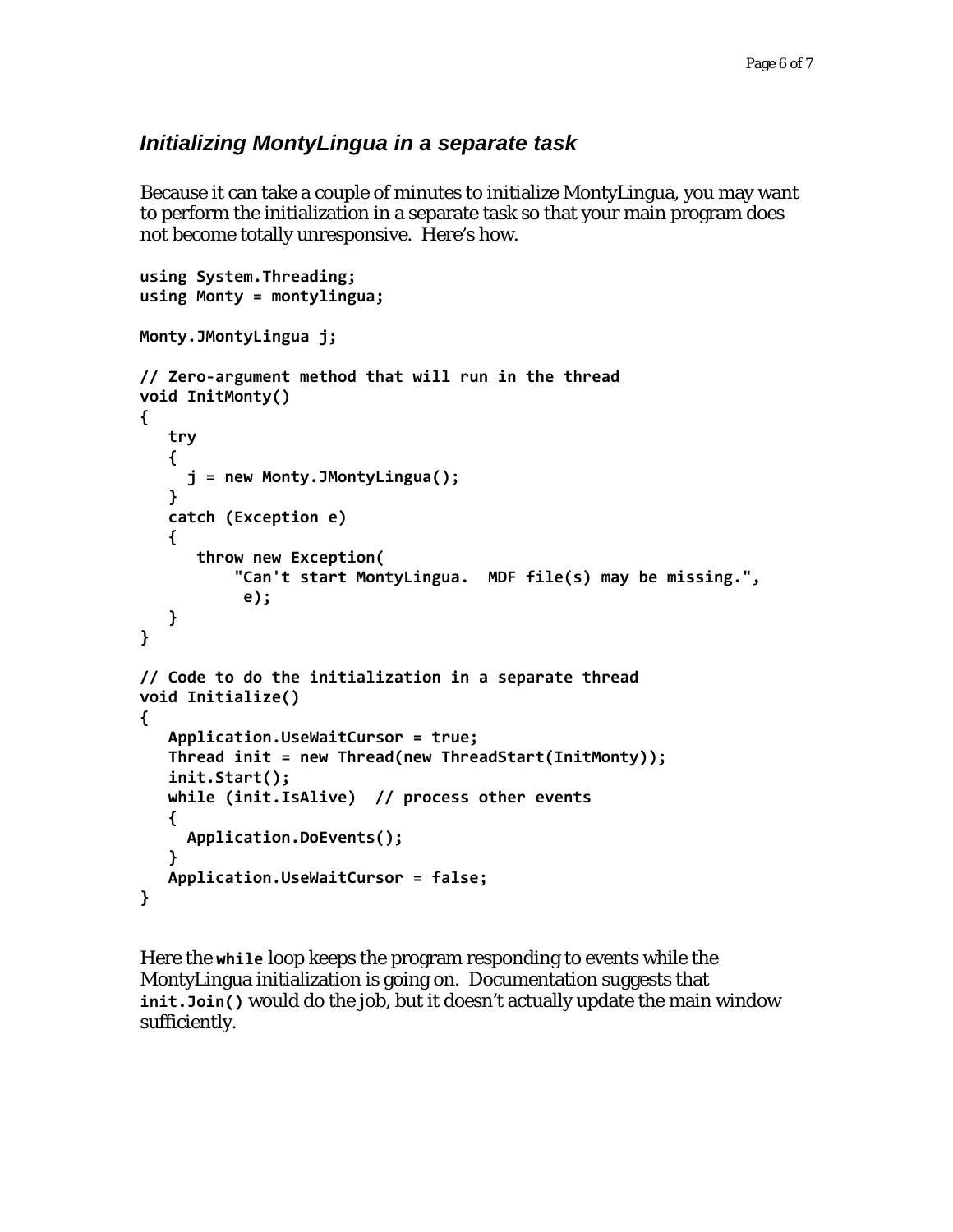# *Initializing MontyLingua in a separate task*

Because it can take a couple of minutes to initialize MontyLingua, you may want to perform the initialization in a separate task so that your main program does not become totally unresponsive. Here's how.

```
using System.Threading;
using Monty = montylingua;
Monty.JMontyLingua j;
// Zero‐argument method that will run in the thread
void InitMonty()
{
      try
      {
          j = new Monty.JMontyLingua();
      }
      catch (Exception e)
      {
            throw new Exception(
                     "Can't start MontyLingua.  MDF file(s) may be missing.",
                       e);
      }
}
// Code to do the initialization in a separate thread
void Initialize()
{
      Application.UseWaitCursor = true;
      Thread init = new Thread(new ThreadStart(InitMonty));
      init.Start();
      while (init.IsAlive)  // process other events
      {
          Application.DoEvents();
      }
      Application.UseWaitCursor = false;
}
```
Here the **while** loop keeps the program responding to events while the MontyLingua initialization is going on. Documentation suggests that **init.Join()** would do the job, but it doesn't actually update the main window sufficiently.